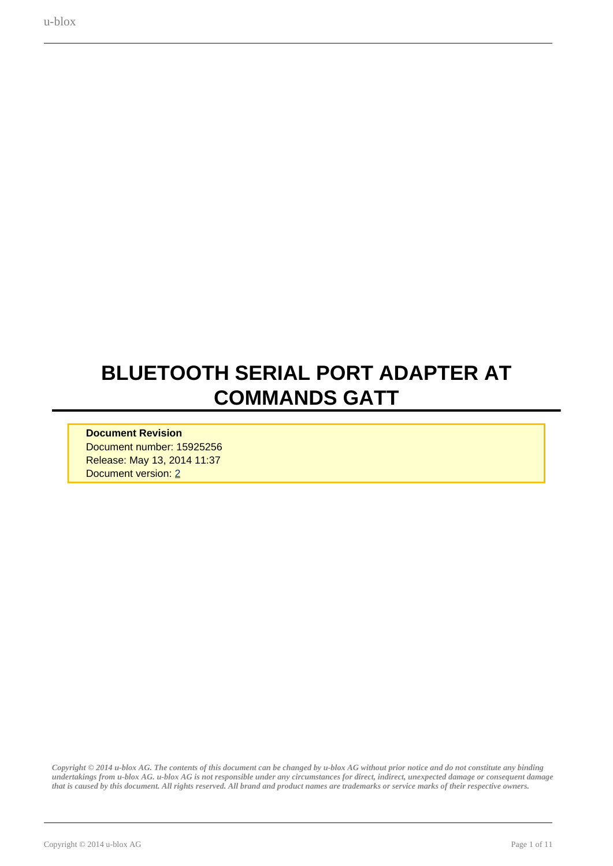# <span id="page-0-0"></span>**BLUETOOTH SERIAL PORT ADAPTER AT COMMANDS GATT**

#### **Document Revision** Document number: 15925256 Release: May 13, 2014 11:37 Document version: [2](#page-0-0)

*Copyright © 2014 u-blox AG. The contents of this document can be changed by u-blox AG without prior notice and do not constitute any binding undertakings from u-blox AG. u-blox AG is not responsible under any circumstances for direct, indirect, unexpected damage or consequent damage that is caused by this document. All rights reserved. All brand and product names are trademarks or service marks of their respective owners.*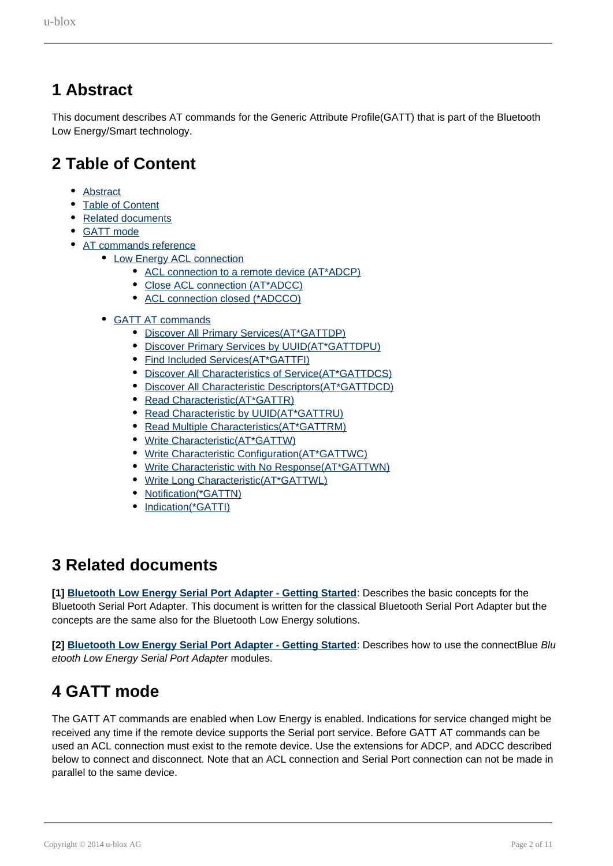### <span id="page-1-0"></span>**1 Abstract**

This document describes AT commands for the Generic Attribute Profile(GATT) that is part of the Bluetooth Low Energy/Smart technology.

### <span id="page-1-1"></span>**2 Table of Content**

- [Abstract](#page-1-0)
- [Table of Content](#page-1-1)
- [Related documents](#page-1-2)
- [GATT mode](#page-1-3)
- [AT commands reference](#page-2-0)
	- [Low Energy ACL connection](#page-2-1)
		- [ACL connection to a remote device \(AT\\*ADCP\)](#page-2-2)
		- [Close ACL connection \(AT\\*ADCC\)](#page-2-3)
		- [ACL connection closed \(\\*ADCCO\)](#page-3-0)
	- [GATT AT commands](#page-3-1)
		- [Discover All Primary Services\(AT\\*GATTDP\)](#page-3-2)
		- [Discover Primary Services by UUID\(AT\\*GATTDPU\)](#page-4-0)
		- [Find Included Services\(AT\\*GATTFI\)](#page-4-1)
		- [Discover All Characteristics of Service\(AT\\*GATTDCS\)](#page-5-0)
		- [Discover All Characteristic Descriptors\(AT\\*GATTDCD\)](#page-5-1)
		- [Read Characteristic\(AT\\*GATTR\)](#page-6-0)
		- [Read Characteristic by UUID\(AT\\*GATTRU\)](#page-6-1)
		- [Read Multiple Characteristics\(AT\\*GATTRM\)](#page-7-0)
		- [Write Characteristic\(AT\\*GATTW\)](#page-7-1)
		- [Write Characteristic Configuration\(AT\\*GATTWC\)](#page-8-0)
		- [Write Characteristic with No Response\(AT\\*GATTWN\)](#page-8-1)
		- [Write Long Characteristic\(AT\\*GATTWL\)](#page-9-0)
		- [Notification\(\\*GATTN\)](#page-10-0)
		- [Indication\(\\*GATTI\)](#page-10-1)

### <span id="page-1-2"></span>**3 Related documents**

**[1] Bluetooth Low Energy Serial Port Adapter - Getting Started**: Describes the basic concepts for the Bluetooth Serial Port Adapter. This document is written for the classical Bluetooth Serial Port Adapter but the concepts are the same also for the Bluetooth Low Energy solutions.

**[2] Bluetooth Low Energy Serial Port Adapter - Getting Started**: Describes how to use the connectBlue Blu etooth Low Energy Serial Port Adapter modules.

### <span id="page-1-3"></span>**4 GATT mode**

The GATT AT commands are enabled when Low Energy is enabled. Indications for service changed might be received any time if the remote device supports the Serial port service. Before GATT AT commands can be used an ACL connection must exist to the remote device. Use the extensions for ADCP, and ADCC described below to connect and disconnect. Note that an ACL connection and Serial Port connection can not be made in parallel to the same device.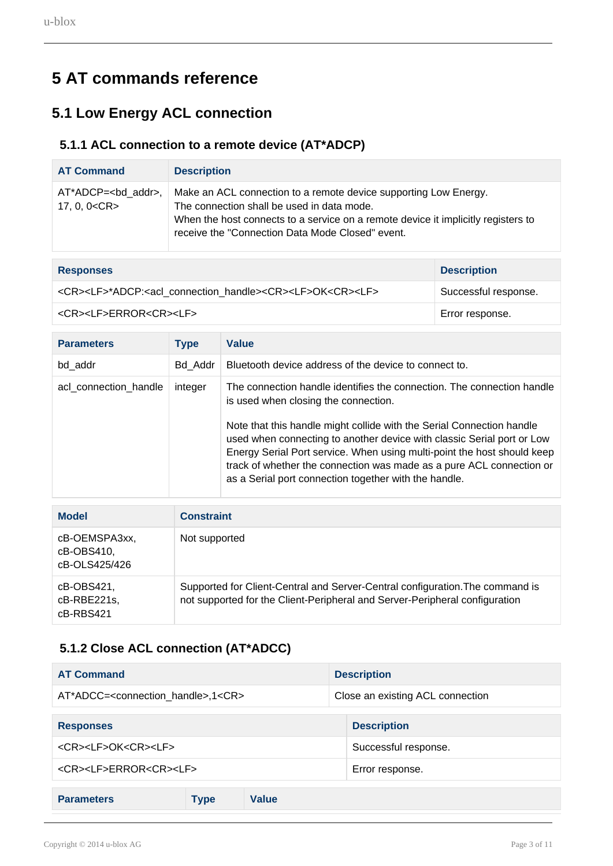## <span id="page-2-0"></span>**5 AT commands reference**

### <span id="page-2-1"></span>**5.1 Low Energy ACL connection**

#### <span id="page-2-2"></span>**5.1.1 ACL connection to a remote device (AT\*ADCP)**

| <b>AT Command</b>                              | <b>Description</b>                                                                                                                                                                                                                                      |
|------------------------------------------------|---------------------------------------------------------------------------------------------------------------------------------------------------------------------------------------------------------------------------------------------------------|
| $AT^*ADCP = < bd$ addr>,<br>17, 0, 0 <cr></cr> | Make an ACL connection to a remote device supporting Low Energy.<br>The connection shall be used in data mode.<br>When the host connects to a service on a remote device it implicitly registers to<br>receive the "Connection Data Mode Closed" event. |

| <b>Responses</b>                                                                                              | <b>Description</b>   |
|---------------------------------------------------------------------------------------------------------------|----------------------|
| <cr><lf>*ADCP:<acl_connection_handle><cr><lf>OK<cr><lf></lf></cr></lf></cr></acl_connection_handle></lf></cr> | Successful response. |
| <cr><lf>ERROR<cr><lf></lf></cr></lf></cr>                                                                     | Error response.      |

| <b>Parameters</b>     | <b>Type</b> | Value                                                                                                                                                                                                                                                                                                                                                       |
|-----------------------|-------------|-------------------------------------------------------------------------------------------------------------------------------------------------------------------------------------------------------------------------------------------------------------------------------------------------------------------------------------------------------------|
| bd addr               | Bd Addr     | Bluetooth device address of the device to connect to.                                                                                                                                                                                                                                                                                                       |
| acl_connection_handle | integer     | The connection handle identifies the connection. The connection handle<br>is used when closing the connection.                                                                                                                                                                                                                                              |
|                       |             | Note that this handle might collide with the Serial Connection handle<br>used when connecting to another device with classic Serial port or Low<br>Energy Serial Port service. When using multi-point the host should keep<br>track of whether the connection was made as a pure ACL connection or<br>as a Serial port connection together with the handle. |

| <b>Model</b>                                 | <b>Constraint</b>                                                                                                                                            |
|----------------------------------------------|--------------------------------------------------------------------------------------------------------------------------------------------------------------|
| cB-OEMSPA3xx,<br>cB-OBS410,<br>cB-OLS425/426 | Not supported                                                                                                                                                |
| cB-OBS421,<br>cB-RBE221s,<br>cB-RBS421       | Supported for Client-Central and Server-Central configuration. The command is<br>not supported for the Client-Peripheral and Server-Peripheral configuration |

### **5.1.2 Close ACL connection (AT\*ADCC)**

<span id="page-2-3"></span>

| <b>AT Command</b>                                       |                      |                      | <b>Description</b>               |
|---------------------------------------------------------|----------------------|----------------------|----------------------------------|
| AT*ADCC= <connection handle="">,1<cr></cr></connection> |                      |                      | Close an existing ACL connection |
|                                                         |                      |                      |                                  |
| <b>Responses</b>                                        |                      |                      | <b>Description</b>               |
| <cr><lf>OK<cr><lf></lf></cr></lf></cr>                  |                      | Successful response. |                                  |
| <cr><lf>ERROR<cr><lf></lf></cr></lf></cr>               |                      | Error response.      |                                  |
|                                                         |                      |                      |                                  |
| <b>Parameters</b>                                       | Value<br><b>Type</b> |                      |                                  |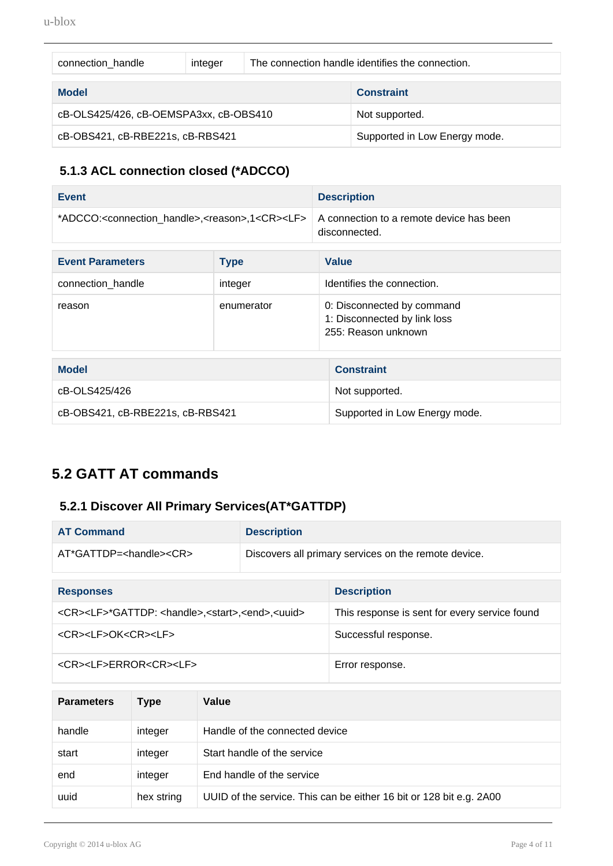| connection handle                      | integer |                               | The connection handle identifies the connection. |
|----------------------------------------|---------|-------------------------------|--------------------------------------------------|
| <b>Model</b>                           |         |                               | <b>Constraint</b>                                |
| cB-OLS425/426, cB-OEMSPA3xx, cB-OBS410 |         | Not supported.                |                                                  |
| cB-OBS421, cB-RBE221s, cB-RBS421       |         | Supported in Low Energy mode. |                                                  |

#### **5.1.3 ACL connection closed (\*ADCCO)**

<span id="page-3-0"></span>

| Event                                                                                                                        | <b>Description</b> |
|------------------------------------------------------------------------------------------------------------------------------|--------------------|
| *ADCCO: <connection handle="">,<reason>,1<cr><lf>   A connection to a remote device has been</lf></cr></reason></connection> | disconnected.      |

| <b>Event Parameters</b> | <b>Type</b> | <b>Value</b>                                                                      |
|-------------------------|-------------|-----------------------------------------------------------------------------------|
| connection_handle       | integer     | Identifies the connection.                                                        |
| reason                  | enumerator  | 0: Disconnected by command<br>1: Disconnected by link loss<br>255: Reason unknown |

| <b>Model</b>                     | <b>Constraint</b>             |
|----------------------------------|-------------------------------|
| cB-OLS425/426                    | Not supported.                |
| cB-OBS421, cB-RBE221s, cB-RBS421 | Supported in Low Energy mode. |

### <span id="page-3-1"></span>**5.2 GATT AT commands**

#### <span id="page-3-2"></span>**5.2.1 Discover All Primary Services(AT\*GATTDP)**

| <b>AT Command</b>                                                                      | <b>Description</b> |                                                      |  |
|----------------------------------------------------------------------------------------|--------------------|------------------------------------------------------|--|
| $AT*GATTDP = <$ handle $><$ $CR$                                                       |                    | Discovers all primary services on the remote device. |  |
|                                                                                        |                    |                                                      |  |
| <b>Responses</b>                                                                       |                    | <b>Description</b>                                   |  |
| <cr><lf>*GATTDP: <handle>,<start>,<end>,<uuid></uuid></end></start></handle></lf></cr> |                    | This response is sent for every service found        |  |
| <cr><lf>OK<cr><lf></lf></cr></lf></cr>                                                 |                    | Successful response.                                 |  |
| <cr><lf>ERROR<cr><lf></lf></cr></lf></cr>                                              |                    | Error response.                                      |  |

| <b>Parameters</b> | Type       | Value                                                               |
|-------------------|------------|---------------------------------------------------------------------|
| handle            | integer    | Handle of the connected device                                      |
| start             | integer    | Start handle of the service                                         |
| end               | integer    | End handle of the service                                           |
| uuid              | hex string | UUID of the service. This can be either 16 bit or 128 bit e.g. 2A00 |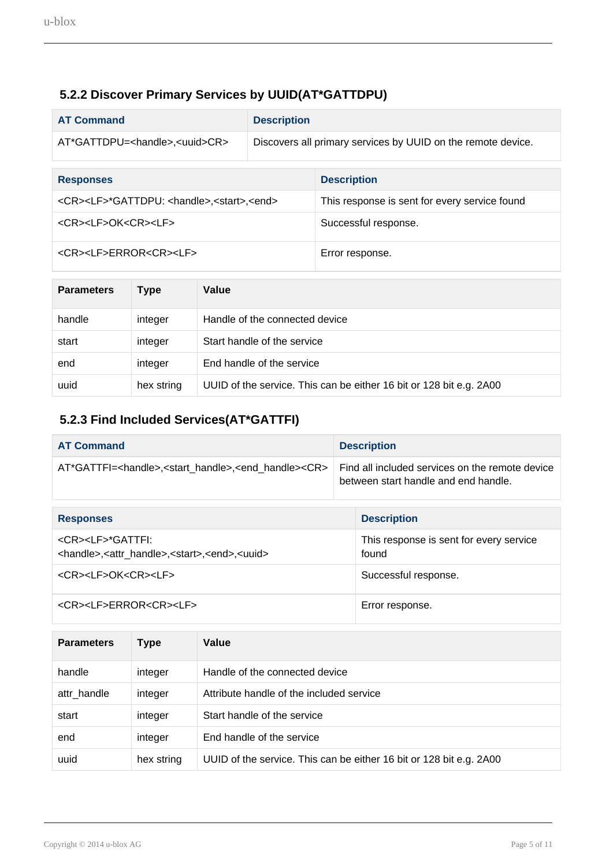#### **5.2.2 Discover Primary Services by UUID(AT\*GATTDPU)**

<span id="page-4-0"></span>

| <b>AT Command</b>                                                         | <b>Description</b> |                                                              |  |
|---------------------------------------------------------------------------|--------------------|--------------------------------------------------------------|--|
| AT*GATTDPU= <handle>,<uuid>CR&gt;</uuid></handle>                         |                    | Discovers all primary services by UUID on the remote device. |  |
|                                                                           |                    |                                                              |  |
| <b>Responses</b>                                                          |                    | <b>Description</b>                                           |  |
| <cr><lf>*GATTDPU: <handle>,<start>,<end></end></start></handle></lf></cr> |                    | This response is sent for every service found                |  |
| <cr><lf>OK<cr><lf></lf></cr></lf></cr>                                    |                    | Successful response.                                         |  |
| <cr><lf>ERROR<cr><lf></lf></cr></lf></cr>                                 |                    | Error response.                                              |  |

| <b>Parameters</b> | Type       | Value                                                               |
|-------------------|------------|---------------------------------------------------------------------|
| handle            | integer    | Handle of the connected device                                      |
| start             | integer    | Start handle of the service                                         |
| end               | integer    | End handle of the service                                           |
| uuid              | hex string | UUID of the service. This can be either 16 bit or 128 bit e.g. 2A00 |

#### <span id="page-4-1"></span>**5.2.3 Find Included Services(AT\*GATTFI)**

| <b>AT Command</b>                                                                                                  |  | <b>Description</b>                                                                      |  |
|--------------------------------------------------------------------------------------------------------------------|--|-----------------------------------------------------------------------------------------|--|
| AT*GATTFI= <handle>,<start handle="">,<end handle=""><cr></cr></end></start></handle>                              |  | Find all included services on the remote device<br>between start handle and end handle. |  |
|                                                                                                                    |  |                                                                                         |  |
| <b>Responses</b>                                                                                                   |  | <b>Description</b>                                                                      |  |
| <cr><lf>*GATTFI:<br/><handle>,<attr handle="">,<start>,<end>,<uuid></uuid></end></start></attr></handle></lf></cr> |  | This response is sent for every service<br>found                                        |  |
| <cr><lf>OK<cr><lf></lf></cr></lf></cr>                                                                             |  | Successful response.                                                                    |  |
| <cr><lf>ERROR<cr><lf></lf></cr></lf></cr>                                                                          |  | Error response.                                                                         |  |

| <b>Parameters</b> | Type       | Value                                                               |
|-------------------|------------|---------------------------------------------------------------------|
| handle            | integer    | Handle of the connected device                                      |
| attr handle       | integer    | Attribute handle of the included service                            |
| start             | integer    | Start handle of the service                                         |
| end               | integer    | End handle of the service                                           |
| uuid              | hex string | UUID of the service. This can be either 16 bit or 128 bit e.g. 2A00 |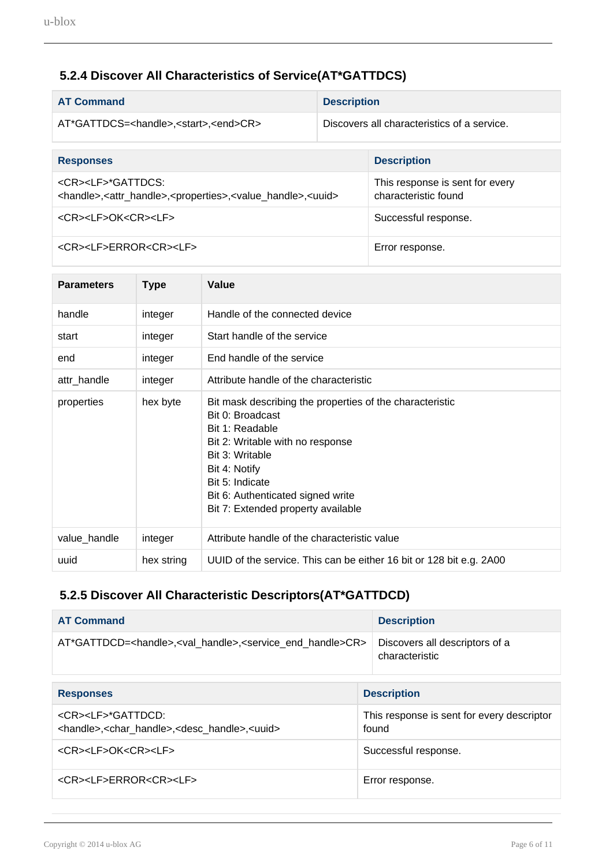#### **5.2.4 Discover All Characteristics of Service(AT\*GATTDCS)**

<span id="page-5-0"></span>

| <b>AT Command</b>                                                                                                                                   | <b>Description</b> |                                                         |  |
|-----------------------------------------------------------------------------------------------------------------------------------------------------|--------------------|---------------------------------------------------------|--|
| AT*GATTDCS= <handle>,<start>,<end>CR&gt;</end></start></handle>                                                                                     |                    | Discovers all characteristics of a service.             |  |
|                                                                                                                                                     |                    |                                                         |  |
| <b>Responses</b>                                                                                                                                    |                    | <b>Description</b>                                      |  |
| <cr><lf>*GATTDCS:<br/><handle>,<attr_handle>,<properties>,<value_handle>,<uuid></uuid></value_handle></properties></attr_handle></handle></lf></cr> |                    | This response is sent for every<br>characteristic found |  |
| <cr><lf>OK<cr><lf></lf></cr></lf></cr>                                                                                                              |                    | Successful response.                                    |  |
| <cr><lf>ERROR<cr><lf></lf></cr></lf></cr>                                                                                                           |                    | Error response.                                         |  |

| <b>Parameters</b> | <b>Type</b> | Value                                                                                                                                                                                                                                                                 |
|-------------------|-------------|-----------------------------------------------------------------------------------------------------------------------------------------------------------------------------------------------------------------------------------------------------------------------|
| handle            | integer     | Handle of the connected device                                                                                                                                                                                                                                        |
| start             | integer     | Start handle of the service                                                                                                                                                                                                                                           |
| end               | integer     | End handle of the service                                                                                                                                                                                                                                             |
| attr_handle       | integer     | Attribute handle of the characteristic                                                                                                                                                                                                                                |
| properties        | hex byte    | Bit mask describing the properties of the characteristic<br>Bit 0: Broadcast<br>Bit 1: Readable<br>Bit 2: Writable with no response<br>Bit 3: Writable<br>Bit 4: Notify<br>Bit 5: Indicate<br>Bit 6: Authenticated signed write<br>Bit 7: Extended property available |
| value_handle      | integer     | Attribute handle of the characteristic value                                                                                                                                                                                                                          |
| uuid              | hex string  | UUID of the service. This can be either 16 bit or 128 bit e.g. 2A00                                                                                                                                                                                                   |

#### <span id="page-5-1"></span>**5.2.5 Discover All Characteristic Descriptors(AT\*GATTDCD)**

| <b>AT Command</b>                                                                                                             | <b>Description</b> |
|-------------------------------------------------------------------------------------------------------------------------------|--------------------|
| AT*GATTDCD= <handle>,<val handle="">,<service end="" handle="">CR&gt; Discovers all descriptors of a</service></val></handle> | characteristic     |

| <b>Responses</b>                                                                                                        | <b>Description</b>                                  |
|-------------------------------------------------------------------------------------------------------------------------|-----------------------------------------------------|
| <cr><lf>*GATTDCD:<br/><handle>,<char_handle>,<desc_handle>,<uuid></uuid></desc_handle></char_handle></handle></lf></cr> | This response is sent for every descriptor<br>found |
| <cr><lf>OK<cr><lf></lf></cr></lf></cr>                                                                                  | Successful response.                                |
| <cr><lf>ERROR<cr><lf></lf></cr></lf></cr>                                                                               | Error response.                                     |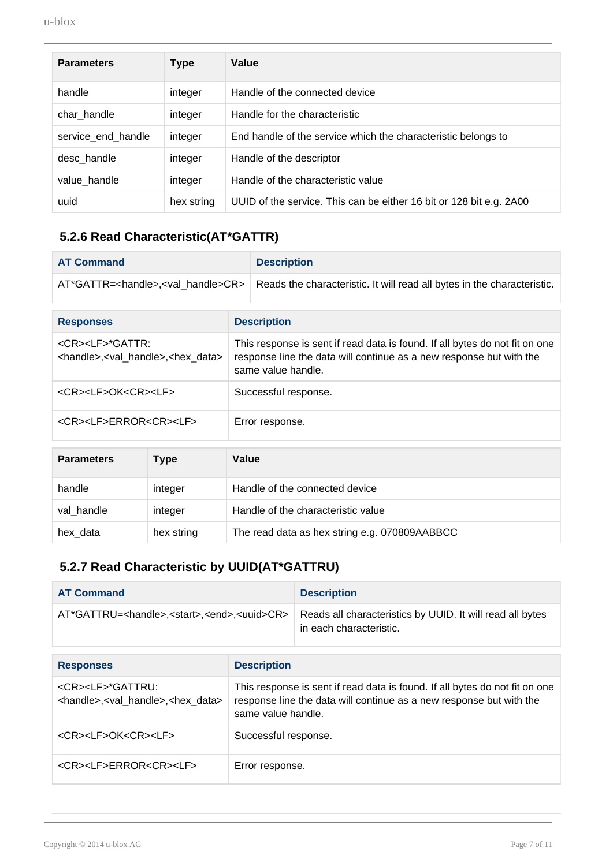| <b>Parameters</b>  | <b>Type</b> | Value                                                               |
|--------------------|-------------|---------------------------------------------------------------------|
| handle             | integer     | Handle of the connected device                                      |
| char_handle        | integer     | Handle for the characteristic                                       |
| service_end_handle | integer     | End handle of the service which the characteristic belongs to       |
| desc_handle        | integer     | Handle of the descriptor                                            |
| value_handle       | integer     | Handle of the characteristic value                                  |
| uuid               | hex string  | UUID of the service. This can be either 16 bit or 128 bit e.g. 2A00 |

#### <span id="page-6-0"></span>**5.2.6 Read Characteristic(AT\*GATTR)**

| <b>AT Command</b>                                                                             |                                                                                                                                                                          | <b>Description</b>                                                      |
|-----------------------------------------------------------------------------------------------|--------------------------------------------------------------------------------------------------------------------------------------------------------------------------|-------------------------------------------------------------------------|
| AT*GATTR= <handle>,<val handle="">CR&gt;</val></handle>                                       |                                                                                                                                                                          | Reads the characteristic. It will read all bytes in the characteristic. |
| <b>Responses</b>                                                                              |                                                                                                                                                                          | <b>Description</b>                                                      |
| <cr><lf>*GATTR:<br/><handle>,<val_handle>,<hex data=""></hex></val_handle></handle></lf></cr> | This response is sent if read data is found. If all bytes do not fit on one<br>response line the data will continue as a new response but with the<br>same value handle. |                                                                         |
| <cr><lf>OK<cr><lf></lf></cr></lf></cr>                                                        |                                                                                                                                                                          | Successful response.                                                    |
| <cr><lf>ERROR<cr><lf></lf></cr></lf></cr>                                                     |                                                                                                                                                                          | Error response.                                                         |
|                                                                                               |                                                                                                                                                                          |                                                                         |

| <b>Parameters</b> | Type       | Value                                         |
|-------------------|------------|-----------------------------------------------|
| handle            | integer    | Handle of the connected device                |
| val handle        | integer    | Handle of the characteristic value            |
| hex_data          | hex string | The read data as hex string e.g. 070809AABBCC |

#### **5.2.7 Read Characteristic by UUID(AT\*GATTRU)**

<span id="page-6-1"></span>

| <b>AT Command</b>                                                                              |                                                                                                                                                                          | <b>Description</b>                                                                   |
|------------------------------------------------------------------------------------------------|--------------------------------------------------------------------------------------------------------------------------------------------------------------------------|--------------------------------------------------------------------------------------|
| AT*GATTRU= <handle>,<start>,<end>,<uuid>CR&gt;</uuid></end></start></handle>                   |                                                                                                                                                                          | Reads all characteristics by UUID. It will read all bytes<br>in each characteristic. |
|                                                                                                |                                                                                                                                                                          |                                                                                      |
| <b>Responses</b>                                                                               | <b>Description</b>                                                                                                                                                       |                                                                                      |
| <cr><lf>*GATTRU:<br/><handle>,<val_handle>,<hex data=""></hex></val_handle></handle></lf></cr> | This response is sent if read data is found. If all bytes do not fit on one<br>response line the data will continue as a new response but with the<br>same value handle. |                                                                                      |
| <cr><lf>OK<cr><lf></lf></cr></lf></cr>                                                         | Successful response.                                                                                                                                                     |                                                                                      |
| <cr><lf>ERROR<cr><lf><br/>Error response.</lf></cr></lf></cr>                                  |                                                                                                                                                                          |                                                                                      |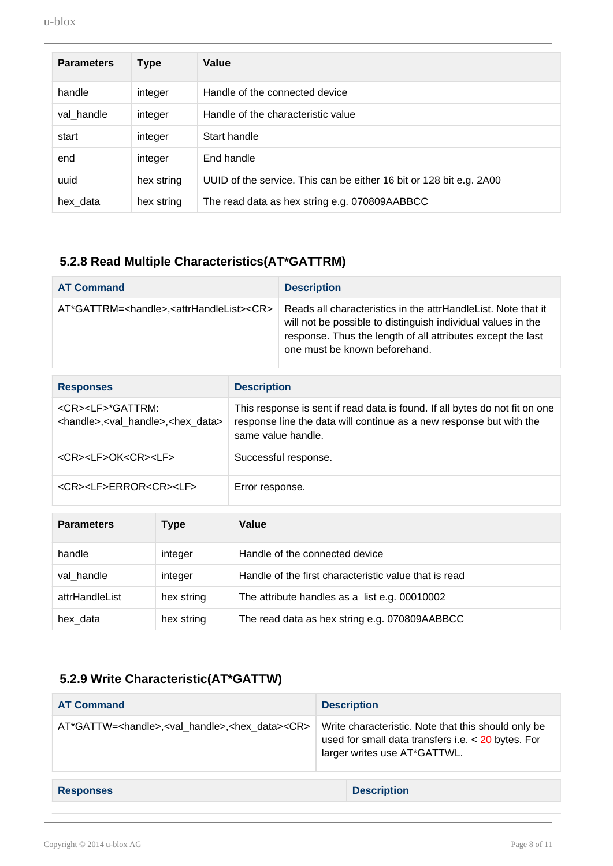| <b>Parameters</b> | Type       | Value                                                               |
|-------------------|------------|---------------------------------------------------------------------|
| handle            | integer    | Handle of the connected device                                      |
| val handle        | integer    | Handle of the characteristic value                                  |
| start             | integer    | Start handle                                                        |
| end               | integer    | End handle                                                          |
| uuid              | hex string | UUID of the service. This can be either 16 bit or 128 bit e.g. 2A00 |
| hex_data          | hex string | The read data as hex string e.g. 070809AABBCC                       |

### <span id="page-7-0"></span>**5.2.8 Read Multiple Characteristics(AT\*GATTRM)**

| <b>AT Command</b>                                                       | <b>Description</b>                                                                                                                                                                                                            |
|-------------------------------------------------------------------------|-------------------------------------------------------------------------------------------------------------------------------------------------------------------------------------------------------------------------------|
| AT*GATTRM= <handle>,<attrhandlelist><cr></cr></attrhandlelist></handle> | Reads all characteristics in the attrHandleList. Note that it<br>will not be possible to distinguish individual values in the<br>response. Thus the length of all attributes except the last<br>one must be known beforehand. |

| <b>Responses</b>                                                                                 | <b>Description</b>                                                                                                                                                       |
|--------------------------------------------------------------------------------------------------|--------------------------------------------------------------------------------------------------------------------------------------------------------------------------|
| <cr><lf>*GATTRM:<br/><handle>,<val_handle>,<hex_data></hex_data></val_handle></handle></lf></cr> | This response is sent if read data is found. If all bytes do not fit on one<br>response line the data will continue as a new response but with the<br>same value handle. |
| <cr><lf>OK<cr><lf></lf></cr></lf></cr>                                                           | Successful response.                                                                                                                                                     |
| <cr><lf>ERROR<cr><lf></lf></cr></lf></cr>                                                        | Error response.                                                                                                                                                          |

| <b>Parameters</b> | Type       | Value                                                 |
|-------------------|------------|-------------------------------------------------------|
| handle            | integer    | Handle of the connected device                        |
| val handle        | integer    | Handle of the first characteristic value that is read |
| attrHandleList    | hex string | The attribute handles as a list e.g. 00010002         |
| hex data          | hex string | The read data as hex string e.g. 070809AABBCC         |

#### **5.2.9 Write Characteristic(AT\*GATTW)**

<span id="page-7-1"></span>

| <b>AT Command</b>                                                              | <b>Description</b>                                                                                                                          |
|--------------------------------------------------------------------------------|---------------------------------------------------------------------------------------------------------------------------------------------|
| AT*GATTW= <handle>,<val handle="">,<hex data=""><cr></cr></hex></val></handle> | Write characteristic. Note that this should only be<br>used for small data transfers i.e. $<$ 20 bytes. For<br>larger writes use AT*GATTWL. |
|                                                                                |                                                                                                                                             |
| <b>Responses</b>                                                               | <b>Description</b>                                                                                                                          |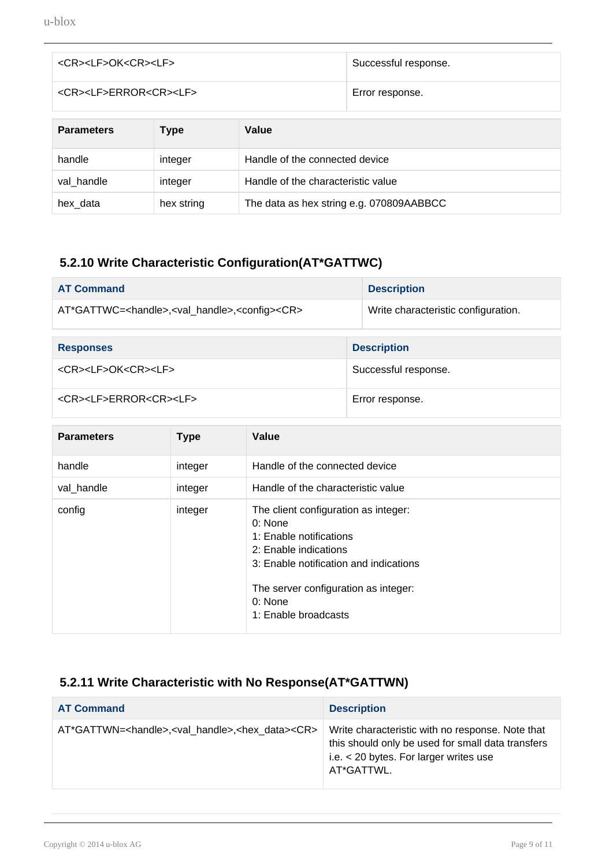| <cr><lf>OK<cr><lf></lf></cr></lf></cr>    |             | Successful response. |                 |
|-------------------------------------------|-------------|----------------------|-----------------|
| <cr><lf>ERROR<cr><lf></lf></cr></lf></cr> |             |                      | Error response. |
|                                           |             |                      |                 |
| <b>Parameters</b>                         | <b>Type</b> | Value                |                 |

| <b>Parameters</b> | l ype      | value                                    |
|-------------------|------------|------------------------------------------|
| handle            | integer    | Handle of the connected device           |
| val handle        | integer    | Handle of the characteristic value       |
| hex_data          | hex string | The data as hex string e.g. 070809AABBCC |

#### <span id="page-8-0"></span>**5.2.10 Write Characteristic Configuration(AT\*GATTWC)**

| <b>AT Command</b>                                                                 |  | <b>Description</b>                  |  |
|-----------------------------------------------------------------------------------|--|-------------------------------------|--|
| AT*GATTWC= <handle>,<val_handle>,<config><cr></cr></config></val_handle></handle> |  | Write characteristic configuration. |  |
|                                                                                   |  |                                     |  |
| <b>Responses</b>                                                                  |  | <b>Description</b>                  |  |
| <cr><lf>OK<cr><lf></lf></cr></lf></cr>                                            |  | Successful response.                |  |
| <cr><lf>ERROR<cr><lf></lf></cr></lf></cr>                                         |  | Error response.                     |  |

| <b>Parameters</b> | <b>Type</b> | Value                                                                                                                                                                                                                    |
|-------------------|-------------|--------------------------------------------------------------------------------------------------------------------------------------------------------------------------------------------------------------------------|
| handle            | integer     | Handle of the connected device                                                                                                                                                                                           |
| val handle        | integer     | Handle of the characteristic value                                                                                                                                                                                       |
| config            | integer     | The client configuration as integer:<br>0: None<br>1: Enable notifications<br>2: Enable indications<br>3: Enable notification and indications<br>The server configuration as integer:<br>0: None<br>1: Enable broadcasts |

### <span id="page-8-1"></span>**5.2.11 Write Characteristic with No Response(AT\*GATTWN)**

| <b>AT Command</b>                                                               | <b>Description</b>                                                                                                                                              |
|---------------------------------------------------------------------------------|-----------------------------------------------------------------------------------------------------------------------------------------------------------------|
| AT*GATTWN= <handle>,<val handle="">,<hex data=""><cr></cr></hex></val></handle> | Write characteristic with no response. Note that<br>this should only be used for small data transfers<br>i.e. $<$ 20 bytes. For larger writes use<br>AT*GATTWL. |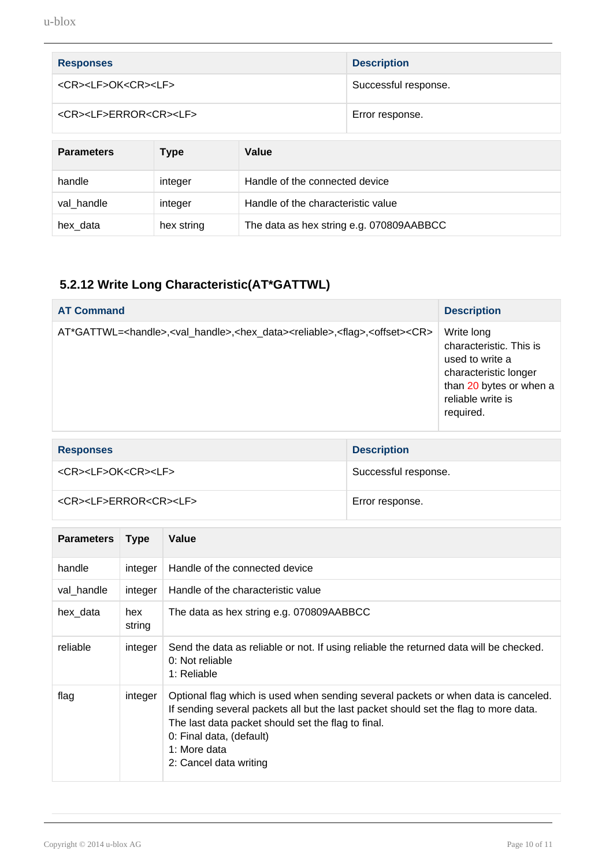| <b>Responses</b>                          | <b>Description</b>   |
|-------------------------------------------|----------------------|
| <cr><lf>OK<cr><lf></lf></cr></lf></cr>    | Successful response. |
| <cr><lf>ERROR<cr><lf></lf></cr></lf></cr> | Error response.      |

| <b>Parameters</b> | Type       | Value                                    |
|-------------------|------------|------------------------------------------|
| handle            | integer    | Handle of the connected device           |
| val handle        | integer    | Handle of the characteristic value       |
| hex_data          | hex string | The data as hex string e.g. 070809AABBCC |

### <span id="page-9-0"></span>**5.2.12 Write Long Characteristic(AT\*GATTWL)**

| <b>AT Command</b>                                                                                                                          | <b>Description</b>                                                                                                                             |
|--------------------------------------------------------------------------------------------------------------------------------------------|------------------------------------------------------------------------------------------------------------------------------------------------|
| AT*GATTWL= <handle>,<val_handle>,<hex_data><reliable>,<flag>,<offset><cr></cr></offset></flag></reliable></hex_data></val_handle></handle> | Write long<br>characteristic. This is<br>used to write a<br>characteristic longer<br>than 20 bytes or when a<br>reliable write is<br>required. |

| <b>Responses</b>                          | <b>Description</b>   |
|-------------------------------------------|----------------------|
| <cr><lf>OK<cr><lf></lf></cr></lf></cr>    | Successful response. |
| <cr><lf>ERROR<cr><lf></lf></cr></lf></cr> | Error response.      |

| <b>Parameters</b> | <b>Type</b>   | Value                                                                                                                                                                                                                                                                                                  |
|-------------------|---------------|--------------------------------------------------------------------------------------------------------------------------------------------------------------------------------------------------------------------------------------------------------------------------------------------------------|
| handle            | integer       | Handle of the connected device                                                                                                                                                                                                                                                                         |
| val handle        | integer       | Handle of the characteristic value                                                                                                                                                                                                                                                                     |
| hex data          | hex<br>string | The data as hex string e.g. 070809AABBCC                                                                                                                                                                                                                                                               |
| reliable          | integer       | Send the data as reliable or not. If using reliable the returned data will be checked.<br>0: Not reliable<br>1: Reliable                                                                                                                                                                               |
| flag              | integer       | Optional flag which is used when sending several packets or when data is canceled.<br>If sending several packets all but the last packet should set the flag to more data.<br>The last data packet should set the flag to final.<br>0: Final data, (default)<br>1: More data<br>2: Cancel data writing |